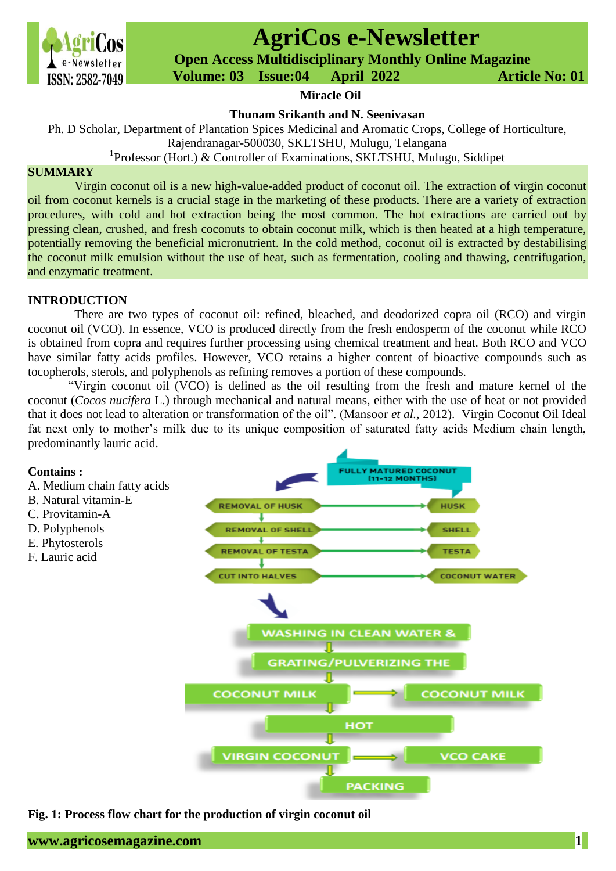

# **AgriCos e-Newsletter**

 **Open Access Multidisciplinary Monthly Online Magazine**

 **ISSN: 2582-7049 Volume: 03 Issue:04 April 2022 Article No: 01** 

#### **Miracle Oil**

**Thunam Srikanth and N. Seenivasan**

Ph. D Scholar, Department of Plantation Spices Medicinal and Aromatic Crops, College of Horticulture, Rajendranagar-500030, SKLTSHU, Mulugu, Telangana

<sup>1</sup>Professor (Hort.) & Controller of Examinations, SKLTSHU, Mulugu, Siddipet

### **SUMMARY**

Virgin coconut oil is a new high-value-added product of coconut oil. The extraction of virgin coconut oil from coconut kernels is a crucial stage in the marketing of these products. There are a variety of extraction procedures, with cold and hot extraction being the most common. The hot extractions are carried out by pressing clean, crushed, and fresh coconuts to obtain coconut milk, which is then heated at a high temperature, potentially removing the beneficial micronutrient. In the cold method, coconut oil is extracted by destabilising the coconut milk emulsion without the use of heat, such as fermentation, cooling and thawing, centrifugation, and enzymatic treatment.

#### **INTRODUCTION**

There are two types of coconut oil: refined, bleached, and deodorized copra oil (RCO) and virgin coconut oil (VCO). In essence, VCO is produced directly from the fresh endosperm of the coconut while RCO is obtained from copra and requires further processing using chemical treatment and heat. Both RCO and VCO have similar fatty acids profiles. However, VCO retains a higher content of bioactive compounds such as tocopherols, sterols, and polyphenols as refining removes a portion of these compounds.

"Virgin coconut oil (VCO) is defined as the oil resulting from the fresh and mature kernel of the coconut (*Cocos nucifera* L.) through mechanical and natural means, either with the use of heat or not provided that it does not lead to alteration or transformation of the oil". (Mansoor *et al.,* 2012). Virgin Coconut Oil Ideal fat next only to mother's milk due to its unique composition of saturated fatty acids Medium chain length, predominantly lauric acid.



**Fig. 1: Process flow chart for the production of virgin coconut oil**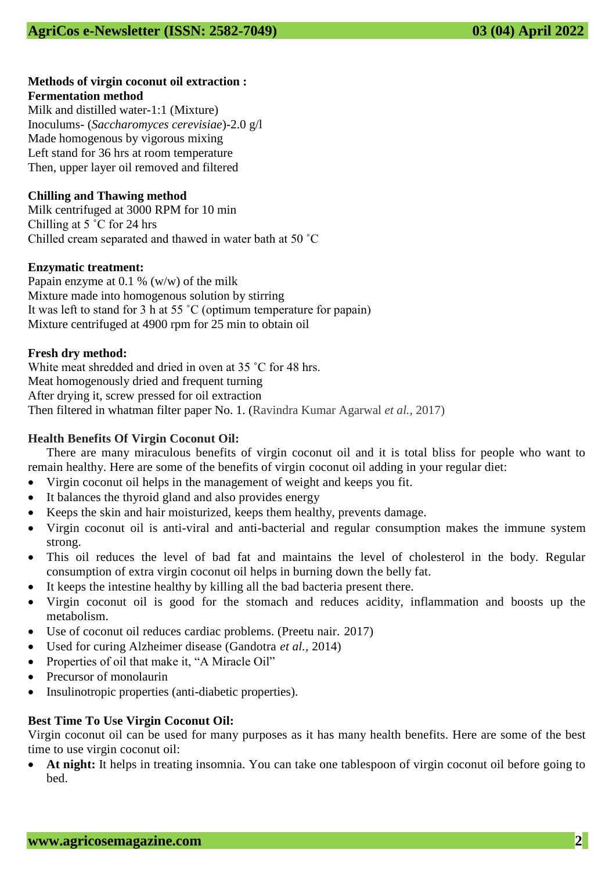## **Methods of virgin coconut oil extraction : Fermentation method**

Milk and distilled water-1:1 (Mixture) Inoculums- (*Saccharomyces cerevisiae*)-2.0 g/l Made homogenous by vigorous mixing Left stand for 36 hrs at room temperature Then, upper layer oil removed and filtered

## **Chilling and Thawing method**

Milk centrifuged at 3000 RPM for 10 min Chilling at 5 ˚C for 24 hrs Chilled cream separated and thawed in water bath at 50 ˚C

## **Enzymatic treatment:**

Papain enzyme at 0.1 % (w/w) of the milk Mixture made into homogenous solution by stirring It was left to stand for 3 h at 55 ˚C (optimum temperature for papain) Mixture centrifuged at 4900 rpm for 25 min to obtain oil

## **Fresh dry method:**

White meat shredded and dried in oven at 35 ˚C for 48 hrs. Meat homogenously dried and frequent turning After drying it, screw pressed for oil extraction Then filtered in whatman filter paper No. 1. (Ravindra Kumar Agarwal *et al.,* 2017)

## **Health Benefits Of Virgin Coconut Oil:**

There are many miraculous benefits of virgin coconut oil and it is total bliss for people who want to remain healthy. Here are some of the benefits of virgin coconut oil adding in your regular diet:

- Virgin coconut oil helps in the management of weight and keeps you fit.
- It balances the thyroid gland and also provides energy
- Keeps the skin and hair moisturized, keeps them healthy, prevents damage.
- Virgin coconut oil is anti-viral and anti-bacterial and regular consumption makes the immune system strong.
- This oil reduces the level of bad fat and maintains the level of cholesterol in the body. Regular consumption of extra virgin coconut oil helps in burning down the belly fat.
- It keeps the intestine healthy by killing all the bad bacteria present there.
- Virgin coconut oil is good for the stomach and reduces acidity, inflammation and boosts up the metabolism.
- Use of coconut oil reduces cardiac problems. (Preetu nair. 2017)
- Used for curing Alzheimer disease (Gandotra *et al.,* 2014)
- Properties of oil that make it, "A Miracle Oil"
- Precursor of monolaurin
- Insulinotropic properties (anti-diabetic properties).

## **Best Time To Use Virgin Coconut Oil:**

Virgin coconut oil can be used for many purposes as it has many health benefits. Here are some of the best time to use virgin coconut oil:

 **At night:** It helps in treating insomnia. You can take one tablespoon of virgin coconut oil before going to bed.